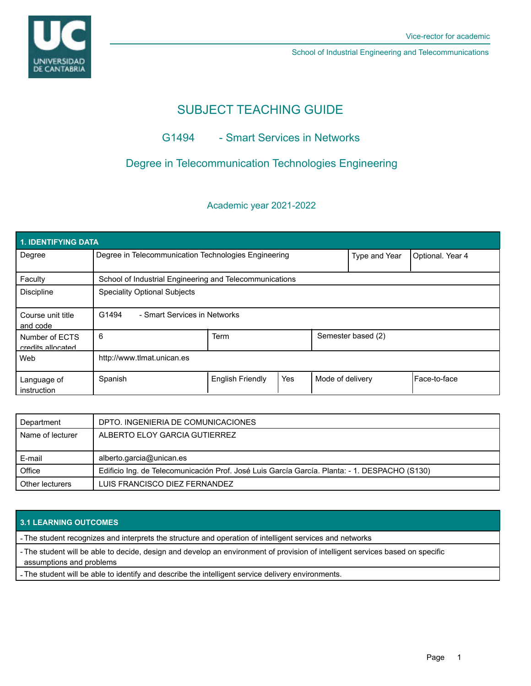

School of Industrial Engineering and Telecommunications

# SUBJECT TEACHING GUIDE

# G1494 - Smart Services in Networks

# Degree in Telecommunication Technologies Engineering

# Academic year 2021-2022

| 1. IDENTIFYING DATA                 |                                                         |                         |     |                  |                    |                |  |  |  |
|-------------------------------------|---------------------------------------------------------|-------------------------|-----|------------------|--------------------|----------------|--|--|--|
| Degree                              | Degree in Telecommunication Technologies Engineering    |                         |     | Type and Year    | Optional. Year 4   |                |  |  |  |
| Faculty                             | School of Industrial Engineering and Telecommunications |                         |     |                  |                    |                |  |  |  |
| <b>Discipline</b>                   | <b>Speciality Optional Subjects</b>                     |                         |     |                  |                    |                |  |  |  |
| Course unit title<br>and code       | G1494<br>- Smart Services in Networks                   |                         |     |                  |                    |                |  |  |  |
| Number of ECTS<br>credits allocated | 6                                                       | <b>Term</b>             |     |                  | Semester based (2) |                |  |  |  |
| Web                                 | http://www.tlmat.unican.es                              |                         |     |                  |                    |                |  |  |  |
| Language of<br>instruction          | Spanish                                                 | <b>English Friendly</b> | Yes | Mode of delivery |                    | l Face-to-face |  |  |  |

| Department       | DPTO. INGENIERIA DE COMUNICACIONES                                                            |  |  |
|------------------|-----------------------------------------------------------------------------------------------|--|--|
| Name of lecturer | ALBERTO ELOY GARCIA GUTIERREZ                                                                 |  |  |
|                  |                                                                                               |  |  |
| E-mail           | alberto.garcia@unican.es                                                                      |  |  |
|                  | Edificio Ing. de Telecomunicación Prof. José Luis García García. Planta: - 1. DESPACHO (S130) |  |  |
| Office           |                                                                                               |  |  |

## **3.1 LEARNING OUTCOMES**

- The student recognizes and interprets the structure and operation of intelligent services and networks

- The student will be able to decide, design and develop an environment of provision of intelligent services based on specific assumptions and problems

- The student will be able to identify and describe the intelligent service delivery environments.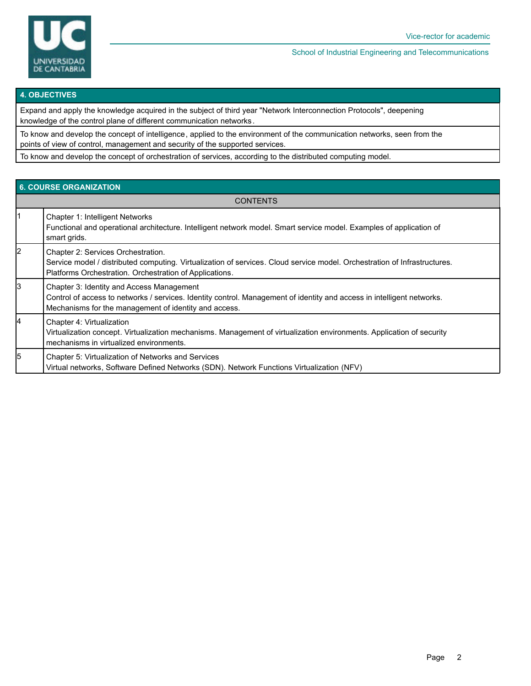

#### School of Industrial Engineering and Telecommunications

#### **4. OBJECTIVES**

Expand and apply the knowledge acquired in the subject of third year "Network Interconnection Protocols", deepening knowledge of the control plane of different communication networks .

To know and develop the concept of intelligence, applied to the environment of the communication networks, seen from the points of view of control, management and security of the supported services.

To know and develop the concept of orchestration of services, according to the distributed computing model.

| <b>6. COURSE ORGANIZATION</b> |                                                                                                                                                                                                                              |  |  |  |  |
|-------------------------------|------------------------------------------------------------------------------------------------------------------------------------------------------------------------------------------------------------------------------|--|--|--|--|
| <b>CONTENTS</b>               |                                                                                                                                                                                                                              |  |  |  |  |
|                               | Chapter 1: Intelligent Networks<br>Functional and operational architecture. Intelligent network model. Smart service model. Examples of application of<br>smart grids.                                                       |  |  |  |  |
| 2                             | Chapter 2: Services Orchestration.<br>Service model / distributed computing. Virtualization of services. Cloud service model. Orchestration of Infrastructures.<br>Platforms Orchestration. Orchestration of Applications.   |  |  |  |  |
| 3                             | Chapter 3: Identity and Access Management<br>Control of access to networks / services. Identity control. Management of identity and access in intelligent networks.<br>Mechanisms for the management of identity and access. |  |  |  |  |
| 14                            | Chapter 4: Virtualization<br>Virtualization concept. Virtualization mechanisms. Management of virtualization environments. Application of security<br>mechanisms in virtualized environments.                                |  |  |  |  |
| 5                             | Chapter 5: Virtualization of Networks and Services<br>Virtual networks, Software Defined Networks (SDN). Network Functions Virtualization (NFV)                                                                              |  |  |  |  |